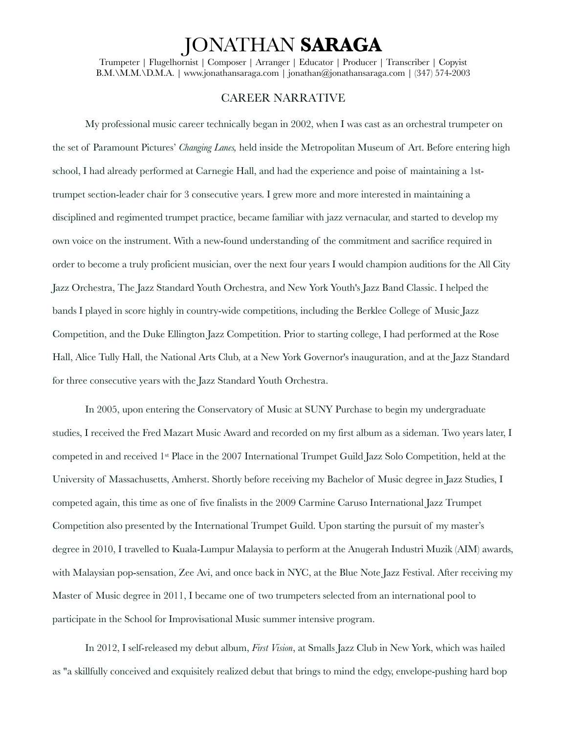## JONATHAN **SARAGA**

Trumpeter | Flugelhornist | Composer | Arranger | Educator | Producer | Transcriber | Copyist B.M.\M.M.\D.M.A. | www.jonathansaraga.com | jonathan@jonathansaraga.com | (347) 574-2003

## CAREER NARRATIVE

My professional music career technically began in 2002, when I was cast as an orchestral trumpeter on the set of Paramount Pictures' *Changing Lanes,* held inside the Metropolitan Museum of Art. Before entering high school, I had already performed at Carnegie Hall, and had the experience and poise of maintaining a 1sttrumpet section-leader chair for 3 consecutive years. I grew more and more interested in maintaining a disciplined and regimented trumpet practice, became familiar with jazz vernacular, and started to develop my own voice on the instrument. With a new-found understanding of the commitment and sacrifice required in order to become a truly proficient musician, over the next four years I would champion auditions for the All City Jazz Orchestra, The Jazz Standard Youth Orchestra, and New York Youth's Jazz Band Classic. I helped the bands I played in score highly in country-wide competitions, including the Berklee College of Music Jazz Competition, and the Duke Ellington Jazz Competition. Prior to starting college, I had performed at the Rose Hall, Alice Tully Hall, the National Arts Club, at a New York Governor's inauguration, and at the Jazz Standard for three consecutive years with the Jazz Standard Youth Orchestra.

In 2005, upon entering the Conservatory of Music at SUNY Purchase to begin my undergraduate studies, I received the Fred Mazart Music Award and recorded on my first album as a sideman. Two years later, I competed in and received 1st Place in the 2007 International Trumpet Guild Jazz Solo Competition, held at the University of Massachusetts, Amherst. Shortly before receiving my Bachelor of Music degree in Jazz Studies, I competed again, this time as one of five finalists in the 2009 Carmine Caruso International Jazz Trumpet Competition also presented by the International Trumpet Guild. Upon starting the pursuit of my master's degree in 2010, I travelled to Kuala-Lumpur Malaysia to perform at the Anugerah Industri Muzik (AIM) awards, with Malaysian pop-sensation, Zee Avi, and once back in NYC, at the Blue Note Jazz Festival. After receiving my Master of Music degree in 2011, I became one of two trumpeters selected from an international pool to participate in the School for Improvisational Music summer intensive program.

In 2012, I self-released my debut album, *First Vision*, at Smalls Jazz Club in New York, which was hailed as "a skillfully conceived and exquisitely realized debut that brings to mind the edgy, envelope-pushing hard bop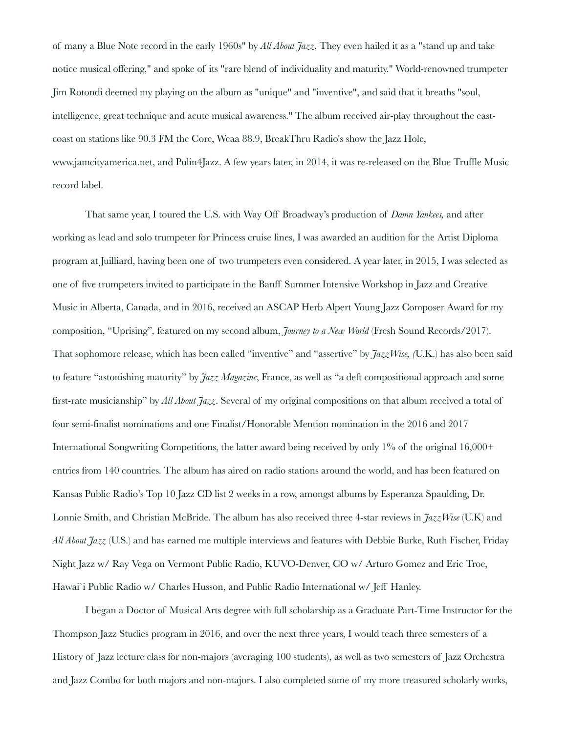of many a Blue Note record in the early 1960s" by *All About Jazz*. They even hailed it as a "stand up and take notice musical offering," and spoke of its "rare blend of individuality and maturity." World-renowned trumpeter Jim Rotondi deemed my playing on the album as "unique" and "inventive", and said that it breaths "soul, intelligence, great technique and acute musical awareness." The album received air-play throughout the eastcoast on stations like 90.3 FM the Core, Weaa 88.9, BreakThru Radio's show the Jazz Hole, www.jamcityamerica.net, and Pulin4Jazz. A few years later, in 2014, it was re-released on the Blue Truffle Music record label.

That same year, I toured the U.S. with Way Off Broadway's production of *Damn Yankees,* and after working as lead and solo trumpeter for Princess cruise lines, I was awarded an audition for the Artist Diploma program at Juilliard, having been one of two trumpeters even considered. A year later, in 2015, I was selected as one of five trumpeters invited to participate in the Banff Summer Intensive Workshop in Jazz and Creative Music in Alberta, Canada, and in 2016, received an ASCAP Herb Alpert Young Jazz Composer Award for my composition, "Uprising"*,* featured on my second album, *Journey to a New World* (Fresh Sound Records/2017). That sophomore release, which has been called "inventive" and "assertive" by *JazzWise, (*U.K.) has also been said to feature "astonishing maturity" by *Jazz Magazine*, France, as well as "a deft compositional approach and some first-rate musicianship" by *All About Jazz*. Several of my original compositions on that album received a total of four semi-finalist nominations and one Finalist/Honorable Mention nomination in the 2016 and 2017 International Songwriting Competitions, the latter award being received by only 1% of the original 16,000+ entries from 140 countries. The album has aired on radio stations around the world, and has been featured on Kansas Public Radio's Top 10 Jazz CD list 2 weeks in a row, amongst albums by Esperanza Spaulding, Dr. Lonnie Smith, and Christian McBride. The album has also received three 4-star reviews in *JazzWise* (U.K) and *All About Jazz* (U.S.) and has earned me multiple interviews and features with Debbie Burke, Ruth Fischer, Friday Night Jazz w/ Ray Vega on Vermont Public Radio, KUVO-Denver, CO w/ Arturo Gomez and Eric Troe, Hawai`i Public Radio w/ Charles Husson, and Public Radio International w/ Jeff Hanley.

I began a Doctor of Musical Arts degree with full scholarship as a Graduate Part-Time Instructor for the Thompson Jazz Studies program in 2016, and over the next three years, I would teach three semesters of a History of Jazz lecture class for non-majors (averaging 100 students), as well as two semesters of Jazz Orchestra and Jazz Combo for both majors and non-majors. I also completed some of my more treasured scholarly works,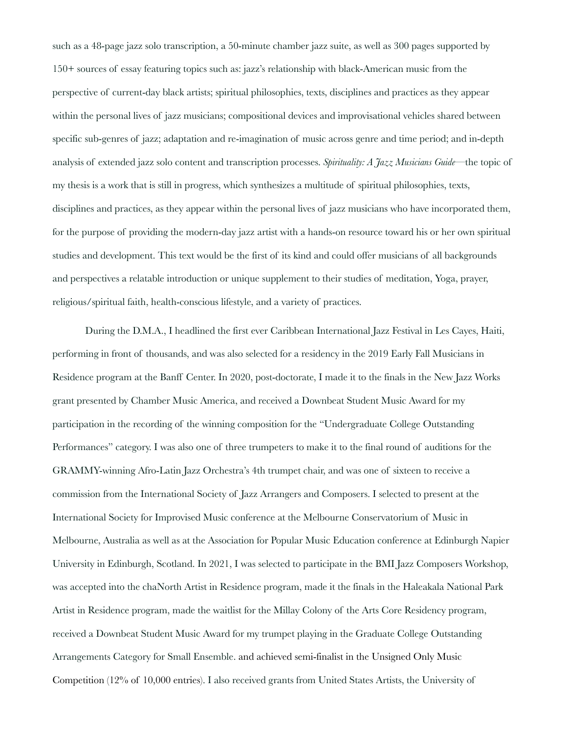such as a 48-page jazz solo transcription, a 50-minute chamber jazz suite, as well as 300 pages supported by 150+ sources of essay featuring topics such as: jazz's relationship with black-American music from the perspective of current-day black artists; spiritual philosophies, texts, disciplines and practices as they appear within the personal lives of jazz musicians; compositional devices and improvisational vehicles shared between specific sub-genres of jazz; adaptation and re-imagination of music across genre and time period; and in-depth analysis of extended jazz solo content and transcription processes. *Spirituality: A Jazz Musicians Guide*—the topic of my thesis is a work that is still in progress, which synthesizes a multitude of spiritual philosophies, texts, disciplines and practices, as they appear within the personal lives of jazz musicians who have incorporated them, for the purpose of providing the modern-day jazz artist with a hands-on resource toward his or her own spiritual studies and development. This text would be the first of its kind and could offer musicians of all backgrounds and perspectives a relatable introduction or unique supplement to their studies of meditation, Yoga, prayer, religious/spiritual faith, health-conscious lifestyle, and a variety of practices.

During the D.M.A., I headlined the first ever Caribbean International Jazz Festival in Les Cayes, Haiti, performing in front of thousands, and was also selected for a residency in the 2019 Early Fall Musicians in Residence program at the Banff Center. In 2020, post-doctorate, I made it to the finals in the New Jazz Works grant presented by Chamber Music America, and received a Downbeat Student Music Award for my participation in the recording of the winning composition for the "Undergraduate College Outstanding Performances" category. I was also one of three trumpeters to make it to the final round of auditions for the GRAMMY-winning Afro-Latin Jazz Orchestra's 4th trumpet chair, and was one of sixteen to receive a commission from the International Society of Jazz Arrangers and Composers. I selected to present at the International Society for Improvised Music conference at the Melbourne Conservatorium of Music in Melbourne, Australia as well as at the Association for Popular Music Education conference at Edinburgh Napier University in Edinburgh, Scotland. In 2021, I was selected to participate in the BMI Jazz Composers Workshop, was accepted into the chaNorth Artist in Residence program, made it the finals in the Haleakala National Park Artist in Residence program, made the waitlist for the Millay Colony of the Arts Core Residency program, received a Downbeat Student Music Award for my trumpet playing in the Graduate College Outstanding Arrangements Category for Small Ensemble. and achieved semi-finalist in the Unsigned Only Music Competition (12% of 10,000 entries). I also received grants from United States Artists, the University of